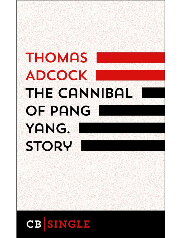# **THOMAS E ADCOCK L** THE CANNIBAL I OF PANG YANG. STORY **I**

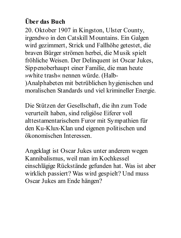### **Über das Buch**

20. Oktober 1907 in Kingston, Ulster County, irgendwo in den Catskill Mountains. Ein Galgen wird gezimmert, Strick und Fallhöhe getestet, die braven Bürger strömen herbei, die Musik spielt fröhliche Weisen. Der Delinquent ist Oscar Jukes, Sippenoberhaupt einer Familie, die man heute »white trash« nennen würde. (Halb- )Analphabeten mit betrüblichen hygienischen und moralischen Standards und viel krimineller Energie.

Die Stützen der Gesellschaft, die ihn zum Tode verurteilt haben, sind religiöse Eiferer voll alttestamentarischem Furor mit Sympathien für den Ku-Klux-Klan und eigenen politischen und ökonomischen Interessen.

Angeklagt ist Oscar Jukes unter anderem wegen Kannibalismus, weil man im Kochkessel einschlägige Rückstände gefunden hat. Was ist aber wirklich passiert? Was wird gespielt? Und muss Oscar Jukes am Ende hängen?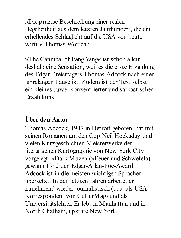»Die präzise Beschreibung einer realen Begebenheit aus dem letzten Jahrhundert, die ein erhellendes Schlaglicht auf die USA von heute wirft « Thomas Wörtche

»The Cannibal of Pang Yang« ist schon allein deshalb eine Sensation, weil es die erste Erzählung des Edgar-Preisträgers Thomas Adcock nach einer jahrelangen Pause ist. Zudem ist der Text selbst ein kleines Juwel konzentrierter und sarkastischer Erzählkunst.

#### **Über den Autor**

Thomas Adcock, 1947 in Detroit geboren, hat mit seinen Romanen um den Cop Neil Hockaday und vielen Kurzgeschichten Meisterwerke der literarischen Kartographie von New York City vorgelegt. »Dark Maze« (»Feuer und Schwefel«) gewann 1992 den Edgar-Allan-Poe-Award. Adcock ist in die meisten wichtigen Sprachen übersetzt. In den letzten Jahren arbeitet er zunehmend wieder journalistisch (u. a. als USA-Korrespondent von CulturMag) und als Universitätslehrer. Er lebt in Manhattan und in North Chatham, upstate New York.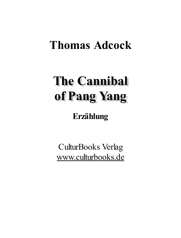### **Thomas Adcock**

## **The Cannibal of Pang Yang**

**Erzählung**

CulturBooks Verlag www.culturbooks.de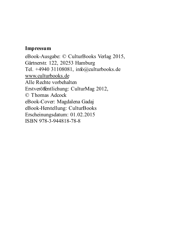### **Impressum**

eBook-Ausgabe: © CulturBooks Verlag 2015, Gärtnerstr. 122, 20253 Hamburg Tel. +4940 31108081, info@culturbooks.de www.culturbooks.de Alle Rechte vorbehalten Erstveröffentlichung: CulturMag 2012, © Thomas Adcock eBook-Cover: Magdalena Gadaj eBook-Herstellung: CulturBooks Erscheinungsdatum: 01.02.2015 ISBN 978-3-944818-78-8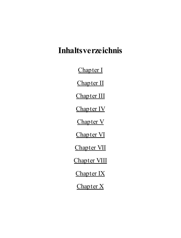### **Inhaltsverzeichnis**

Chapter I Chapter II Chapter III Chapter IV Chapter V Chapter VI Chapter VII Chapter VIII Chapter IX Chapter X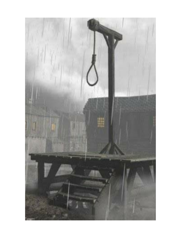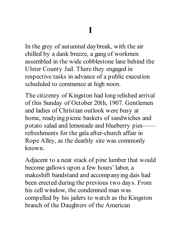In the grey of autumnal daybreak, with the air chilled by a dank breeze, a gang of workmen assembled in the wide cobblestone lane behind the Ulster County Jail. There they engaged in respective tasks in advance of a public execution scheduled to commence at high noon.

The citizenry of Kingston had long relished arrival of this Sunday of October 20th, 1907. Gentlemen and ladies of Christian outlook were busy at home, readying picnic baskets of sandwiches and potato salad and lemonade and blueberry piesrefreshments for the gala after-church affair in Rope Alley, as the deathly site was commonly known.

Adjacent to a neat stack of pine lumber that would become gallows upon a few hours' labor, a makeshift bandstand and accompanying dais had been erected during the previous two days. From his cell window, the condemned man was compelled by his jailers to watch as the Kingston branch of the Daughters of the American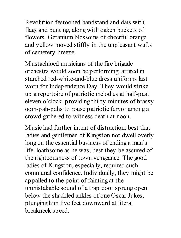Revolution festooned bandstand and dais with flags and bunting, along with oaken buckets of flowers. Geranium blossoms of cheerful orange and yellow moved stiffly in the unpleasant wafts of cemetery breeze.

Mustachioed musicians of the fire brigade orchestra would soon be performing, attired in starched red-white-and-blue dress uniforms last worn for Independence Day. They would strike up a repertoire of patriotic melodies at half-past eleven o'clock, providing thirty minutes of brassy oom-pah-pahs to rouse patriotic fervor among a crowd gathered to witness death at noon.

Music had further intent of distraction: best that ladies and gentlemen of Kingston not dwell overly long on the essential business of ending a man's life, loathsome as he was; best they be assured of the righteousness of town vengeance. The good ladies of Kingston, especially, required such communal confidence. Individually, they might be appalled to the point of fainting at the unmistakable sound of a trap door sprung open below the shackled ankles of one Oscar Jukes, plunging him five feet downward at literal breakneck speed.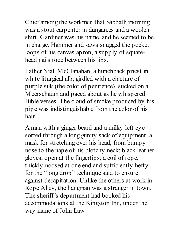Chief among the workmen that Sabbath morning was a stout carpenter in dungarees and a woolen shirt. Gardiner was his name, and he seemed to be in charge. Hammer and saws snugged the pocket loops of his canvas apron, a supply of squarehead nails rode between his lips.

Father Niall McClanahan, a hunchback priest in white liturgical alb, girdled with a cincture of purple silk (the color of penitence), sucked on a Meerschaum and paced about as he whispered Bible verses. The cloud of smoke produced by his pipe was indistinguishable from the color of his hair.

A man with a ginger beard and a milky left eye sorted through a long gunny sack of equipment: a mask for stretching over his head, from bumpy nose to the nape of his blotchy neck; black leather gloves, open at the fingertips; a coil of rope, thickly noosed at one end and sufficiently hefty for the "long drop" technique said to ensure against decapitation. Unlike the others at work in Rope Alley, the hangman was a stranger in town. The sheriff's department had booked his accommodations at the Kingston Inn, under the wry name of John Law.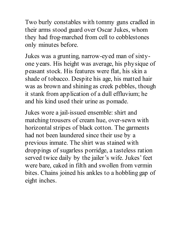Two burly constables with tommy guns cradled in their arms stood guard over Oscar Jukes, whom they had frog-marched from cell to cobblestones only minutes before.

Jukes was a grunting, narrow-eyed man of sixtyone years. His height was average, his physique of peasant stock. His features were flat, his skin a shade of tobacco. Despite his age, his matted hair was as brown and shining as creek pebbles, though it stank from application of a dull effluvium; he and his kind used their urine as pomade.

Jukes wore a jail-issued ensemble: shirt and matching trousers of cream hue, over-sewn with horizontal stripes of black cotton. The garments had not been laundered since their use by a previous inmate. The shirt was stained with droppings of sugarless porridge, a tasteless ration served twice daily by the jailer's wife. Jukes' feet were bare, caked in filth and swollen from vermin bites. Chains joined his ankles to a hobbling gap of eight inches.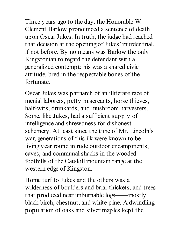Three years ago to the day, the Honorable W. Clement Barlow pronounced a sentence of death upon Oscar Jukes. In truth, the judge had reached that decision at the opening of Jukes' murder trial, if not before. By no means was Barlow the only Kingstonian to regard the defendant with a generalized contempt; his was a shared civic attitude, bred in the respectable bones of the fortunate.

Oscar Jukes was patriarch of an illiterate race of menial laborers, petty miscreants, horse thieves, half-wits, drunkards, and mushroom harvesters. Some, like Jukes, had a sufficient supply of intelligence and shrewdness for dishonest schemery. At least since the time of Mr. Lincoln's war, generations of this ilk were known to be living year round in rude outdoor encampments, caves, and communal shacks in the wooded foothills of the Catskill mountain range at the western edge of Kingston.

Home turf to Jukes and the others was a wilderness of boulders and briar thickets, and trees that produced near unburnable logs——mostly black birch, chestnut, and white pine. A dwindling population of oaks and silver maples kept the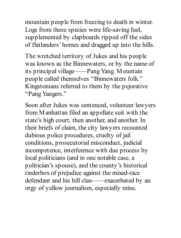mountain people from freezing to death in winter. Logs from these species were life-saving fuel, supplemented by clapboards ripped off the sides of flatlanders' homes and dragged up into the hills.

The wretched territory of Jukes and his people was known as the Binnewaters, or by the name of its principal village——Pang Yang. Mountain people called themselves "Binnewaters folk." Kingstonians referred to them by the pejorative "Pang Yangers."

Soon after Jukes was sentenced, volunteer lawyers from Manhattan filed an appellate suit with the state's high court, then another, and another. In their briefs of claim, the city lawyers recounted dubious police procedures, cruelty of jail conditions, prosecutorial misconduct, judicial incompetence, interference with due process by local politicians (and in one notable case, a politician's spouse), and the county's historical tinderbox of prejudice against the mixed-race defendant and his hill clan——exacerbated by an orgy of yellow journalism, especially mine.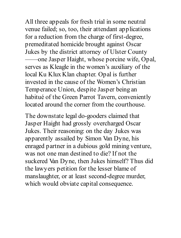All three appeals for fresh trial in some neutral venue failed; so, too, their attendant applications for a reduction from the charge of first-degree, premeditated homicide brought against Oscar Jukes by the district attorney of Ulster County ——one Jasper Haight, whose porcine wife, Opal, serves as Kleagle in the women's auxiliary of the local Ku Klux Klan chapter. Opal is further invested in the cause of the Women's Christian Temperance Union, despite Jasper being an habitué of the Green Parrot Tavern, conveniently located around the corner from the courthouse.

The downstate legal do-gooders claimed that Jasper Haight had grossly overcharged Oscar Jukes. Their reasoning: on the day Jukes was apparently assailed by Simon Van Dyne, his enraged partner in a dubious gold mining venture, was not one man destined to die? If not the suckered Van Dyne, then Jukes himself? Thus did the lawyers petition for the lesser blame of manslaughter, or at least second-degree murder, which would obviate capital consequence.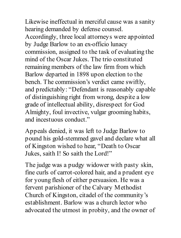Likewise ineffectual in merciful cause was a sanity hearing demanded by defense counsel.

Accordingly, three local attorneys were appointed by Judge Barlow to an ex-officio lunacy commission, assigned to the task of evaluating the mind of the Oscar Jukes. The trio constituted remaining members of the law firm from which Barlow departed in 1898 upon election to the bench. The commission's verdict came swiftly, and predictably: "Defendant is reasonably capable of distinguishing right from wrong, despite a low grade of intellectual ability, disrespect for God Almighty, foul invective, vulgar grooming habits, and incestuous conduct."

Appeals denied, it was left to Judge Barlow to pound his gold-stemmed gavel and declare what all of Kingston wished to hear, "Death to Oscar Jukes, saith I! So saith the Lord!"

The judge was a pudgy widower with pasty skin, fine curls of carrot-colored hair, and a prudent eye for young flesh of either persuasion. He was a fervent parishioner of the Calvary Methodist Church of Kingston, citadel of the community's establishment. Barlow was a church lector who advocated the utmost in probity, and the owner of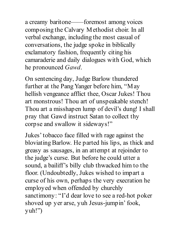a creamy baritone——foremost among voices composing the Calvary Methodist choir. In all verbal exchange, including the most casual of conversations, the judge spoke in biblically exclamatory fashion, frequently citing his camaraderie and daily dialogues with God, which he pronounced *Gawd*.

On sentencing day, Judge Barlow thundered further at the Pang Yanger before him, "May hellish vengeance afflict thee, Oscar Jukes! Thou art monstrous! Thou art of unspeakable stench! Thou art a misshapen lump of devil's dung! I shall pray that Gawd instruct Satan to collect thy corpse and swallow it sideways!"

Jukes' tobacco face filled with rage against the bloviating Barlow. He parted his lips, as thick and greasy as sausages, in an attempt at rejoinder to the judge's curse. But before he could utter a sound, a bailiff's billy club thwacked him to the floor. (Undoubtedly, Jukes wished to impart a curse of his own, perhaps the very execration he employed when offended by churchly sanctimony: "I'd dear love to see a red-hot poker shoved up yer arse, yuh Jesus-jumpin' fook, yuh!")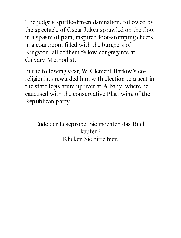The judge's spittle-driven damnation, followed by the spectacle of Oscar Jukes sprawled on the floor in a spasm of pain, inspired foot-stomping cheers in a courtroom filled with the burghers of Kingston, all of them fellow congregants at Calvary Methodist.

In the following year, W. Clement Barlow's coreligionists rewarded him with election to a seat in the state legislature upriver at Albany, where he caucused with the conservative Platt wing of the Republican party.

Ende der Leseprobe. Sie möchten das Buch kaufen? Klicken Sie bitte hier.